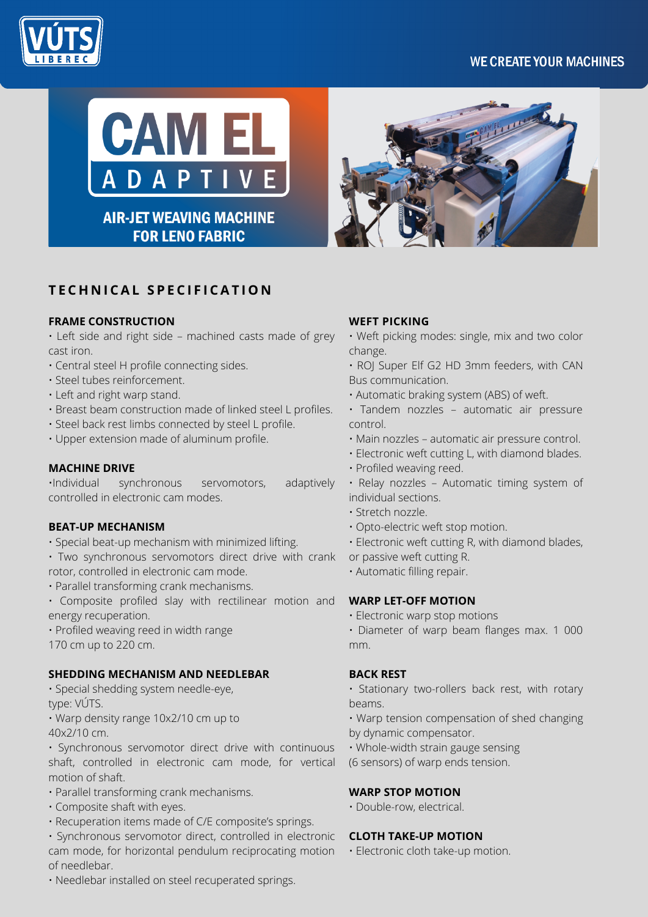## **WE CREATE YOUR MACHINES**







**AIR-JET WEAVING MACHINE FOR LENO FABRIC** 

# **T E C H N I CA L S P E C I F I CA T I O N**

## **FRAME CONSTRUCTION**

• Left side and right side – machined casts made of grey cast iron.

- Central steel H profile connecting sides.
- Steel tubes reinforcement.
- Left and right warp stand.
- Breast beam construction made of linked steel L profiles.
- Steel back rest limbs connected by steel L profile.
- Upper extension made of aluminum profile.

## **MACHINE DRIVE**

•Individual synchronous servomotors, adaptively controlled in electronic cam modes.

#### **BEAT-UP MECHANISM**

- Special beat-up mechanism with minimized lifting.
- Two synchronous servomotors direct drive with crank rotor, controlled in electronic cam mode.
- Parallel transforming crank mechanisms.
- Composite profiled slay with rectilinear motion and energy recuperation.
- Profiled weaving reed in width range
- 170 cm up to 220 cm.

#### **SHEDDING MECHANISM AND NEEDLEBAR**

• Special shedding system needle-eye,

type: VÚTS.

• Warp density range 10x2/10 cm up to

40x2/10 cm.

- Synchronous servomotor direct drive with continuous shaft, controlled in electronic cam mode, for vertical motion of shaft.
- Parallel transforming crank mechanisms.
- Composite shaft with eyes.
- Recuperation items made of C/E composite's springs.
- Synchronous servomotor direct, controlled in electronic cam mode, for horizontal pendulum reciprocating motion of needlebar.
- Needlebar installed on steel recuperated springs.

## **WEFT PICKING**

- Weft picking modes: single, mix and two color change.
- ROJ Super Elf G2 HD 3mm feeders, with CAN Bus communication.
- Automatic braking system (ABS) of weft.
- Tandem nozzles automatic air pressure control.
- Main nozzles automatic air pressure control.
- Electronic weft cutting L, with diamond blades.
- Profiled weaving reed.
- Relay nozzles Automatic timing system of individual sections.
- Stretch nozzle.
- Opto-electric weft stop motion.
- Electronic weft cutting R, with diamond blades,
- or passive weft cutting R.
- Automatic filling repair.

## **WARP LET-OFF MOTION**

- Electronic warp stop motions
- Diameter of warp beam flanges max. 1 000 mm.

## **BACK REST**

• Stationary two-rollers back rest, with rotary beams.

• Warp tension compensation of shed changing by dynamic compensator.

• Whole-width strain gauge sensing

(6 sensors) of warp ends tension.

## **WARP STOP MOTION**

• Double-row, electrical.

#### **CLOTH TAKE-UP MOTION**

• Electronic cloth take-up motion.